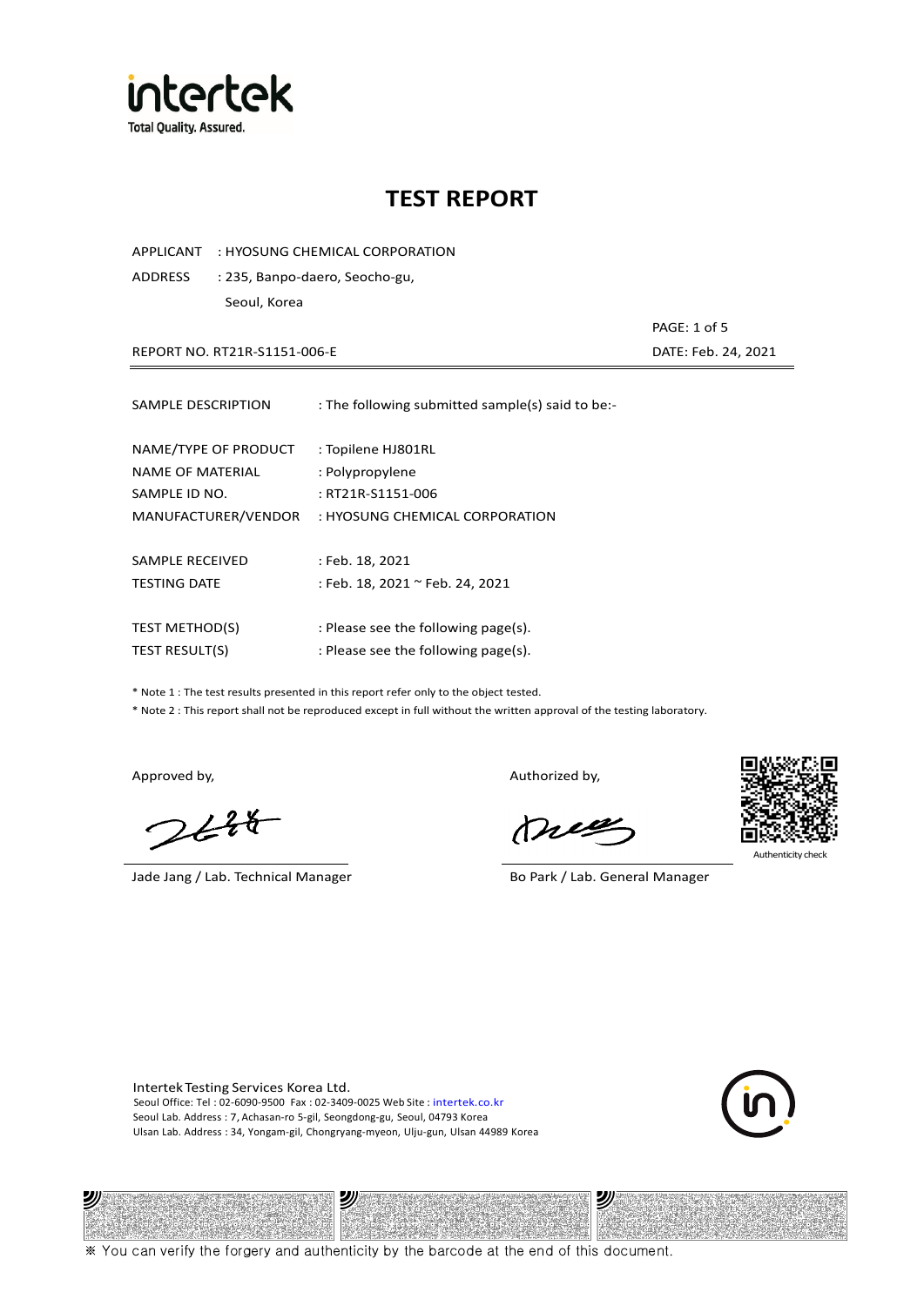

APPLICANT : HYOSUNG CHEMICAL CORPORATION

ADDRESS : 235, Banpo-daero, Seocho-gu, Seoul, Korea

 PAGE: 1 of 5 REPORT NO. RT21R-S1151-006-E DATE: Feb. 24, 2021

| SAMPLE DESCRIPTION    | : The following submitted sample(s) said to be:- |
|-----------------------|--------------------------------------------------|
| NAME/TYPE OF PRODUCT  | : Topilene HJ801RL                               |
| NAME OF MATERIAL      | : Polypropylene                                  |
| SAMPLE ID NO.         | : RT21R-S1151-006                                |
| MANUFACTURER/VENDOR   | : HYOSUNG CHEMICAL CORPORATION                   |
| SAMPLE RECEIVED       | : Feb. 18, 2021                                  |
| <b>TESTING DATE</b>   | : Feb. 18, 2021 ~ Feb. 24, 2021                  |
| <b>TEST METHOD(S)</b> | : Please see the following page(s).              |
| TEST RESULT(S)        | : Please see the following page(s).              |

\* Note 1 : The test results presented in this report refer only to the object tested.

\* Note 2 : This report shall not be reproduced except in full without the written approval of the testing laboratory.

沙

 $248$ 

Jade Jang / Lab. Technical Manager Bo Park / Lab. General Manager

Approved by, Authorized by, Authorized by,

mes



Authenticity check

沙

Intertek Testing Services Korea Ltd. Seoul Office: Tel : 02-6090-9500 Fax : 02-3409-0025 Web Site : intertek.co.kr Seoul Lab. Address : 7, Achasan-ro 5-gil, Seongdong-gu, Seoul, 04793 Korea Ulsan Lab. Address : 34, Yongam-gil, Chongryang-myeon, Ulju-gun, Ulsan 44989 Korea

עי



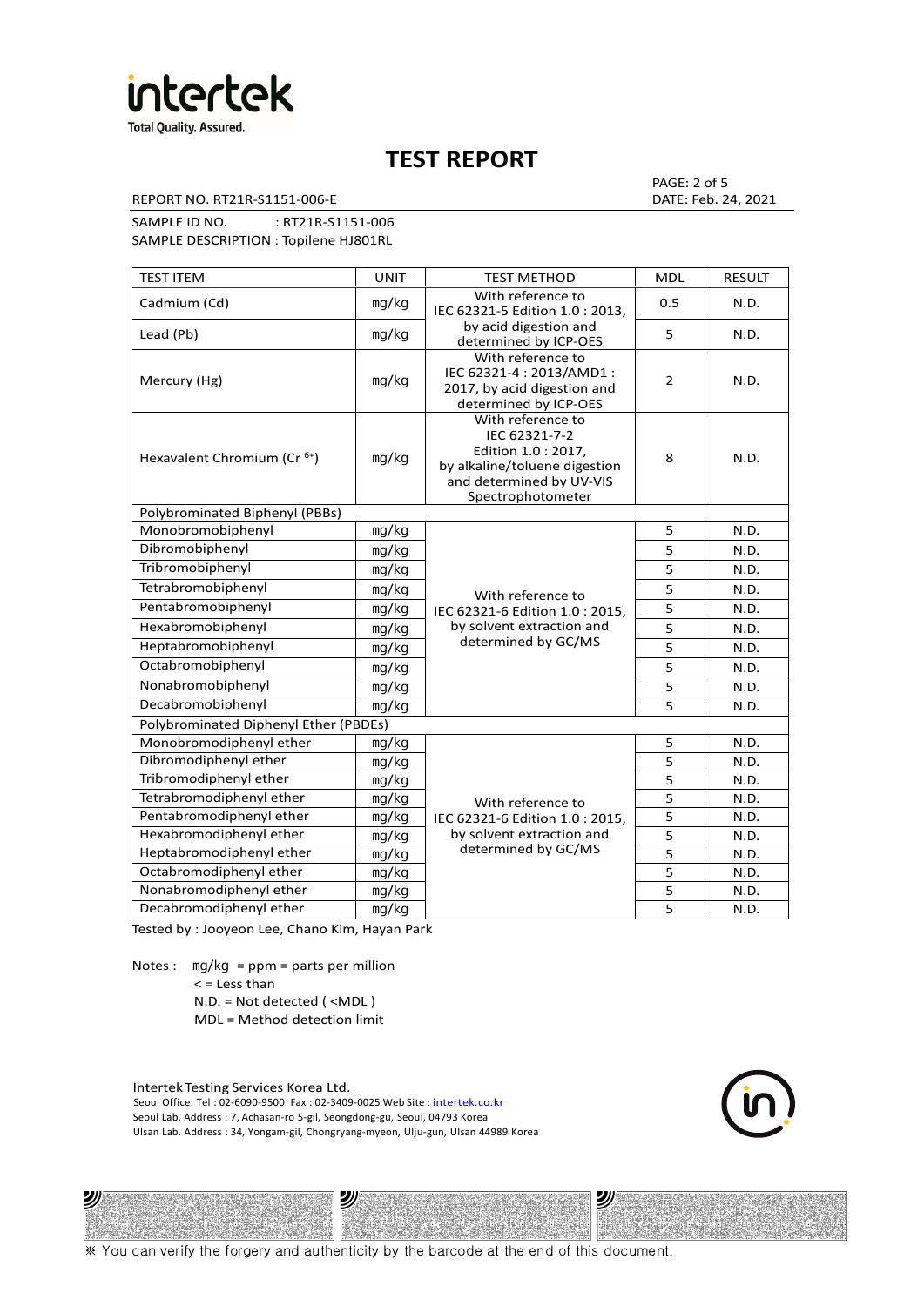

REPORT NO. RT21R-S1151-006-E DATE: Feb. 24, 2021

PAGE: 2 of 5

SAMPLE ID NO. : RT21R-S1151-006 SAMPLE DESCRIPTION : Topilene HJ801RL

| <b>TEST ITEM</b>                        | <b>UNIT</b> | <b>TEST METHOD</b>                                                                                                                          | <b>MDL</b>     | <b>RESULT</b> |
|-----------------------------------------|-------------|---------------------------------------------------------------------------------------------------------------------------------------------|----------------|---------------|
| Cadmium (Cd)                            | mg/kg       | With reference to<br>IEC 62321-5 Edition 1.0: 2013.                                                                                         | 0.5            | N.D.          |
| Lead (Pb)                               | mg/kg       | by acid digestion and<br>determined by ICP-OES                                                                                              | 5              | N.D.          |
| Mercury (Hg)                            | mg/kg       | With reference to<br>IEC 62321-4: 2013/AMD1:<br>2017, by acid digestion and<br>determined by ICP-OES                                        | $\overline{2}$ | N.D.          |
| Hexavalent Chromium (Cr <sup>6+</sup> ) | mg/kg       | With reference to<br>IEC 62321-7-2<br>Edition 1.0 : 2017,<br>by alkaline/toluene digestion<br>and determined by UV-VIS<br>Spectrophotometer | 8              | N.D.          |
| Polybrominated Biphenyl (PBBs)          |             |                                                                                                                                             |                |               |
| Monobromobiphenyl                       | mg/kg       |                                                                                                                                             | 5              | N.D.          |
| Dibromobiphenyl                         | mg/kg       |                                                                                                                                             | 5              | N.D.          |
| Tribromobiphenyl                        | mg/kg       |                                                                                                                                             | 5              | N.D.          |
| Tetrabromobiphenyl                      | mg/kg       | With reference to                                                                                                                           | 5              | N.D.          |
| Pentabromobiphenyl                      | mg/kg       | IEC 62321-6 Edition 1.0 : 2015,                                                                                                             | 5              | N.D.          |
| Hexabromobiphenyl                       | mg/kg       | by solvent extraction and                                                                                                                   | 5              | N.D.          |
| Heptabromobiphenyl                      | mg/kg       | determined by GC/MS                                                                                                                         | 5              | N.D.          |
| Octabromobiphenyl                       | mg/kg       |                                                                                                                                             | $\overline{5}$ | N.D.          |
| Nonabromobiphenyl                       | mg/kg       |                                                                                                                                             | 5              | N.D.          |
| Decabromobiphenyl                       | mg/kg       |                                                                                                                                             | 5              | N.D.          |
| Polybrominated Diphenyl Ether (PBDEs)   |             |                                                                                                                                             |                |               |
| Monobromodiphenyl ether                 | mg/kg       |                                                                                                                                             | 5              | N.D.          |
| Dibromodiphenyl ether                   | mg/kg       |                                                                                                                                             | 5              | N.D.          |
| Tribromodiphenyl ether                  | mg/kg       |                                                                                                                                             | 5              | N.D.          |
| Tetrabromodiphenyl ether                | mg/kg       | With reference to                                                                                                                           | 5              | N.D.          |
| Pentabromodiphenyl ether                | mg/kg       | IEC 62321-6 Edition 1.0 : 2015,                                                                                                             | 5              | N.D.          |
| Hexabromodiphenyl ether                 | mg/kg       | by solvent extraction and                                                                                                                   | 5              | N.D.          |
| Heptabromodiphenyl ether                | mg/kg       | determined by GC/MS                                                                                                                         | 5              | N.D.          |
| Octabromodiphenyl ether                 | mg/kg       |                                                                                                                                             | 5              | N.D.          |
| Nonabromodiphenyl ether                 | mg/kg       |                                                                                                                                             | 5              | N.D.          |
| Decabromodiphenyl ether                 | mg/kg       |                                                                                                                                             | 5              | N.D.          |

Tested by : Jooyeon Lee, Chano Kim, Hayan Park

Notes : mg/kg = ppm = parts per million  $<$  = Less than N.D. = Not detected ( <MDL )

沙

MDL = Method detection limit

Intertek Testing Services Korea Ltd. Seoul Office: Tel : 02-6090-9500 Fax : 02-3409-0025 Web Site : intertek.co.kr Seoul Lab. Address : 7, Achasan-ro 5-gil, Seongdong-gu, Seoul, 04793 Korea Ulsan Lab. Address : 34, Yongam-gil, Chongryang-myeon, Ulju-gun, Ulsan 44989 Korea

沙



沙

※ You can verify the forgery and authenticity by the barcode at the end of this document.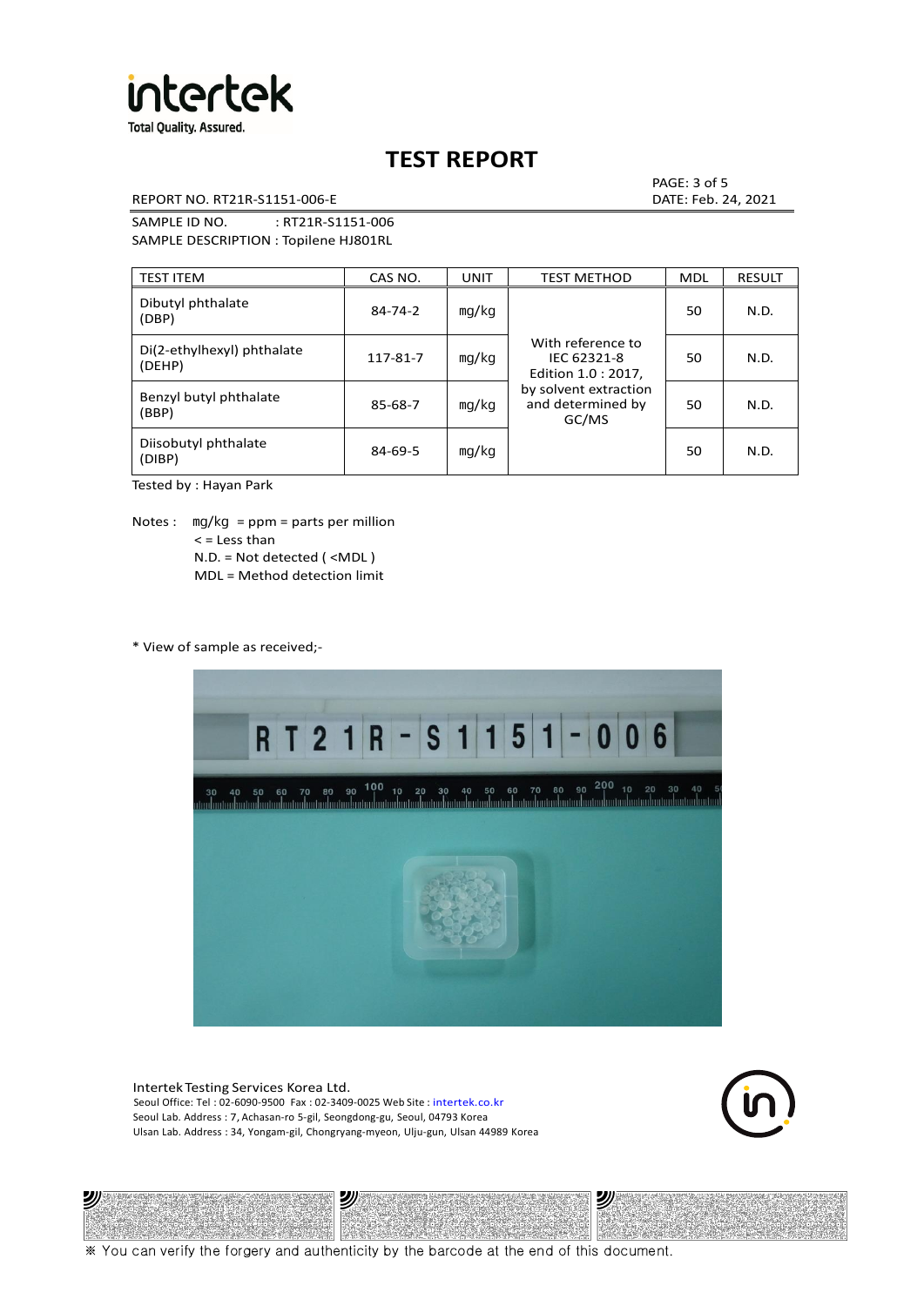

REPORT NO. RT21R-S1151-006-E DATE: Feb. 24, 2021

PAGE: 3 of 5

SAMPLE ID NO. : RT21R-S1151-006 SAMPLE DESCRIPTION : Topilene HJ801RL

| <b>TEST ITEM</b>                     | CAS NO.       | UNIT  | <b>TEST METHOD</b>                                      | <b>MDL</b> | <b>RESULT</b> |
|--------------------------------------|---------------|-------|---------------------------------------------------------|------------|---------------|
| Dibutyl phthalate<br>(DBP)           | $84 - 74 - 2$ | mg/kg | With reference to<br>IEC 62321-8<br>Edition 1.0 : 2017, | 50         | N.D.          |
| Di(2-ethylhexyl) phthalate<br>(DEHP) | 117-81-7      | mg/kg |                                                         | 50         | N.D.          |
| Benzyl butyl phthalate<br>(BBP)      | 85-68-7       | mg/kg | by solvent extraction<br>and determined by<br>GC/MS     | 50         | N.D.          |
| Diisobutyl phthalate<br>(DIBP)       | 84-69-5       | mg/kg |                                                         | 50         | N.D.          |

Tested by : Hayan Park

Notes :  $mq/kg = ppm = parts per million$  $<$  = Less than N.D. = Not detected ( <MDL ) MDL = Method detection limit

\* View of sample as received;-



Intertek Testing Services Korea Ltd. Seoul Office: Tel : 02-6090-9500 Fax : 02-3409-0025 Web Site : intertek.co.kr Seoul Lab. Address : 7, Achasan-ro 5-gil, Seongdong-gu, Seoul, 04793 Korea Ulsan Lab. Address : 34, Yongam-gil, Chongryang-myeon, Ulju-gun, Ulsan 44989 Korea





※ You can verify the forgery and authenticity by the barcode at the end of this document.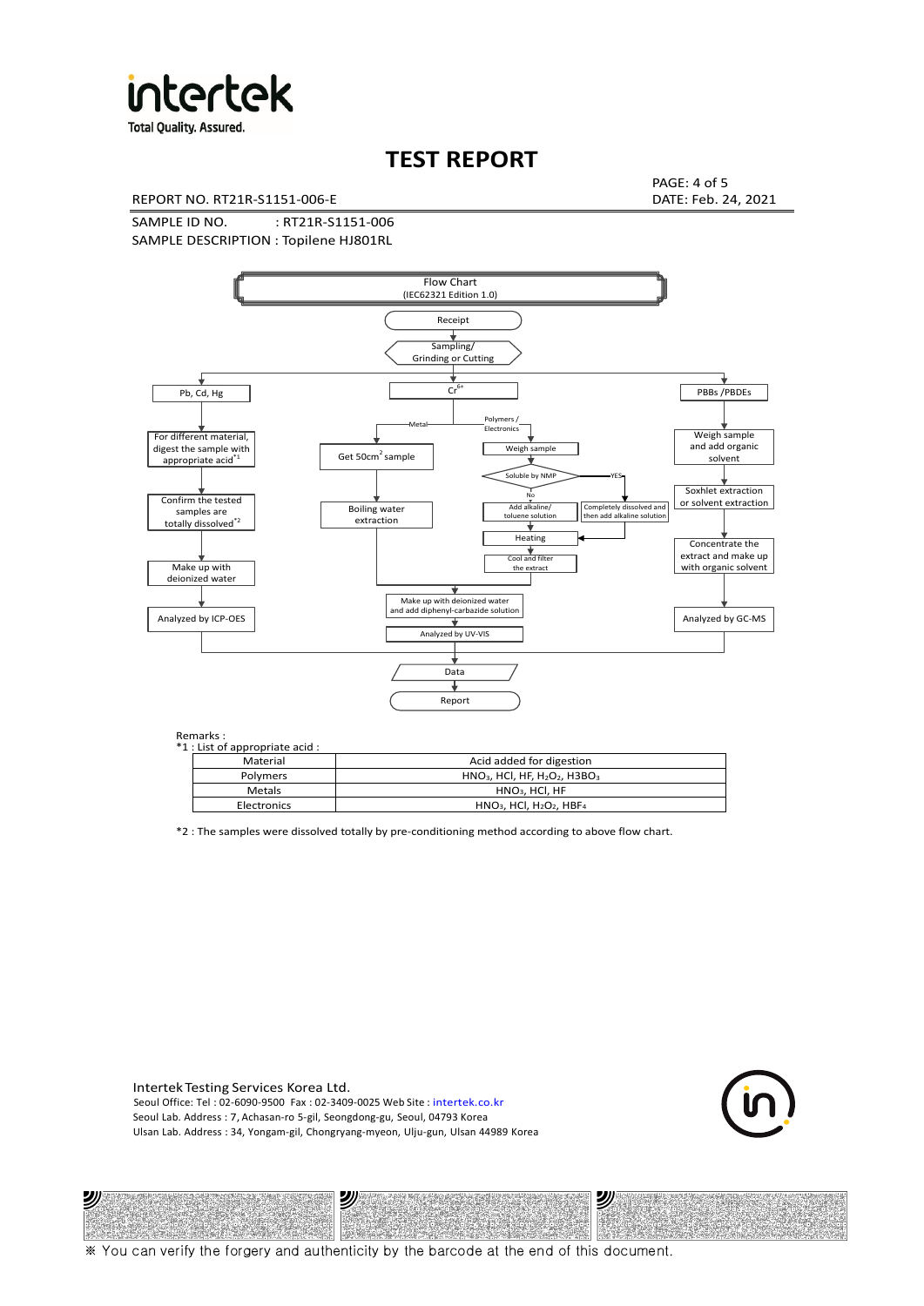

**Total Quality. Assured.** 

# **TEST REPORT**

REPORT NO. RT21R-S1151-006-E DATE: Feb. 24, 2021

PAGE: 4 of 5

SAMPLE ID NO. : RT21R-S1151-006 SAMPLE DESCRIPTION : Topilene HJ801RL



Remarks :<br>\*1 · List of

沙

| ---------<br>1 : List of appropriate acid : |                                                                     |
|---------------------------------------------|---------------------------------------------------------------------|
| Material                                    | Acid added for digestion                                            |
| Polymers                                    | $HNO3$ , HCl, HF, H <sub>2</sub> O <sub>2</sub> , H3BO <sub>3</sub> |
| Metals                                      | $HNO3$ , HCl, HF                                                    |
| Electronics                                 | $HNO3$ , HCl, H <sub>2</sub> O <sub>2</sub> , HBF <sub>4</sub>      |
|                                             |                                                                     |

\*2 : The samples were dissolved totally by pre-conditioning method according to above flow chart.

Intertek Testing Services Korea Ltd. Seoul Office: Tel : 02-6090-9500 Fax : 02-3409-0025 Web Site : intertek.co.kr Seoul Lab. Address : 7, Achasan-ro 5-gil, Seongdong-gu, Seoul, 04793 Korea Ulsan Lab. Address : 34, Yongam-gil, Chongryang-myeon, Ulju-gun, Ulsan 44989 Korea

沙



沙